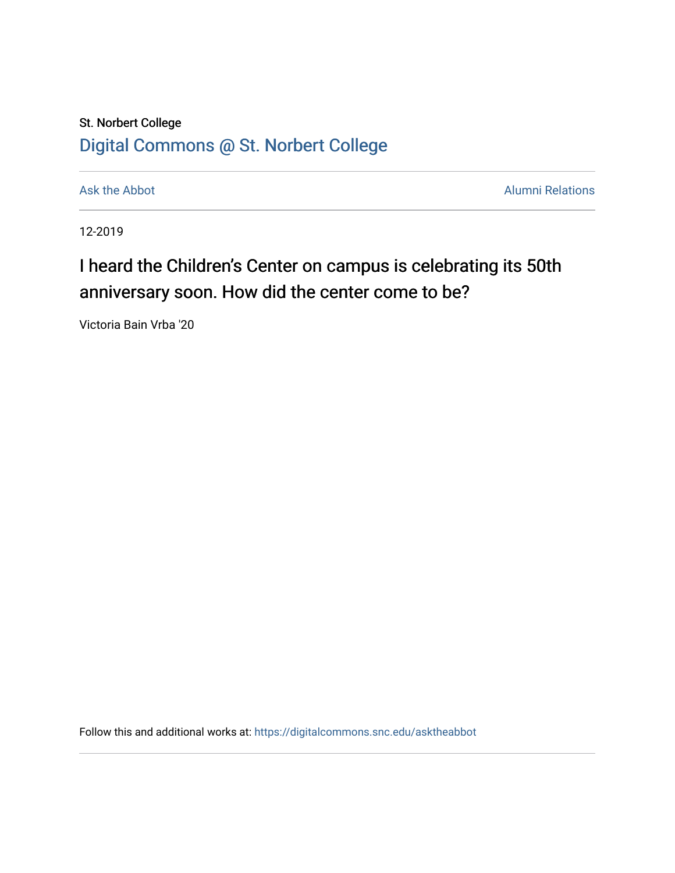## St. Norbert College [Digital Commons @ St. Norbert College](https://digitalcommons.snc.edu/)

[Ask the Abbot](https://digitalcommons.snc.edu/asktheabbot) **Alumni Relations** Ask the Abbot **Alumni Relations** 

12-2019

## I heard the Children's Center on campus is celebrating its 50th anniversary soon. How did the center come to be?

Victoria Bain Vrba '20

Follow this and additional works at: [https://digitalcommons.snc.edu/asktheabbot](https://digitalcommons.snc.edu/asktheabbot?utm_source=digitalcommons.snc.edu%2Fasktheabbot%2F160&utm_medium=PDF&utm_campaign=PDFCoverPages)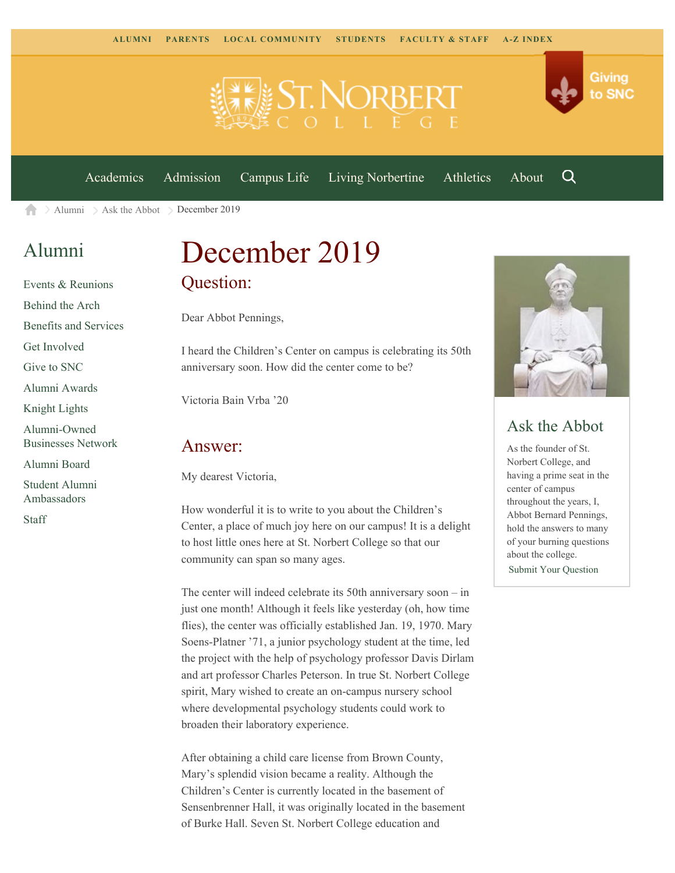



Q

[Academics](https://www.snc.edu/academics) [Admission](https://www.snc.edu/admission) [Campus Life](https://www.snc.edu/campuslife) [Living Norbertine](https://www.snc.edu/livingnorbertine) [Athletics](https://www.snc.edu/athletics) [About](https://www.snc.edu/about)

 $\geq$  [Alumni](https://www.snc.edu/alumni/)  $\geq$  [Ask the Abbot](https://www.snc.edu/alumni/abbot/)  $\geq$  December 2019 合

### [Alumni](https://www.snc.edu/alumni/index.html)

[Events & Reunions](https://www.snc.edu/alumni/event/index.html) [Behind the Arch](https://www.snc.edu/alumni/event/behindthearch/) [Benefits and Services](https://www.snc.edu/alumni/benefits.html) [Get Involved](https://www.snc.edu/alumni/getinvolved.html) [Give to SNC](http://giving.snc.edu/) [Alumni Awards](https://www.snc.edu/alumni/awards/index.html) [Knight Lights](https://www.snc.edu/alumni/knightlights/index.html) [Alumni-Owned](https://www.snc.edu/alumni/directory/index.html) [Businesses Network](https://www.snc.edu/alumni/directory/index.html) [Alumni Board](https://www.snc.edu/alumni/alumniboard.html) [Student Alumni](https://www.snc.edu/alumni/saa.html) [Ambassadors](https://www.snc.edu/alumni/saa.html) [Staff](https://www.snc.edu/alumni/contactus.html)

# December 2019 Question:

Dear Abbot Pennings,

I heard the Children's Center on campus is celebrating its 50th anniversary soon. How did the center come to be?

Victoria Bain Vrba '20

#### Answer:

My dearest Victoria,

How wonderful it is to write to you about the Children's Center, a place of much joy here on our campus! It is a delight to host little ones here at St. Norbert College so that our community can span so many ages.

The center will indeed celebrate its 50th anniversary soon – in just one month! Although it feels like yesterday (oh, how time flies), the center was officially established Jan. 19, 1970. Mary Soens-Platner '71, a junior psychology student at the time, led the project with the help of psychology professor Davis Dirlam and art professor Charles Peterson. In true St. Norbert College spirit, Mary wished to create an on-campus nursery school where developmental psychology students could work to broaden their laboratory experience.

After obtaining a child care license from Brown County, Mary's splendid vision became a reality. Although the Children's Center is currently located in the basement of Sensenbrenner Hall, it was originally located in the basement of Burke Hall. Seven St. Norbert College education and



### Ask the Abbot

As the founder of St. Norbert College, and having a prime seat in the center of campus throughout the years, I, Abbot Bernard Pennings, hold the answers to many of your burning questions about the college. [Submit Your Question](https://www.snc.edu/alumni/abbot/index.html)